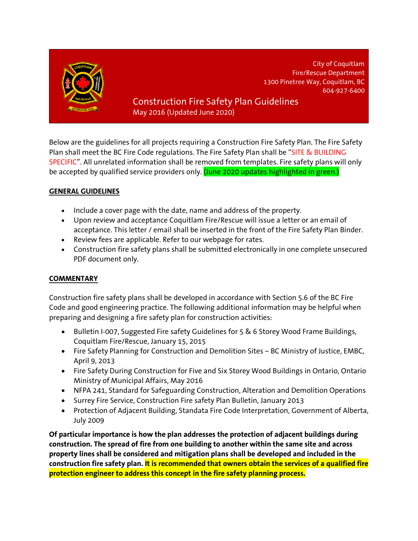

City of Coquitlam Fire/Rescue Department 1300 Pinetree Way, Coquitlam, BC 604-927-6400

# Construction Fire Safety Plan Guidelines May 2016 (Updated June 2020)

Below are the guidelines for all projects requiring a Construction Fire Safety Plan. The Fire Safety Plan shall meet the BC Fire Code regulations. The Fire Safety Plan shall be "SITE & BUILDING SPECIFIC". All unrelated information shall be removed from templates. Fire safety plans will only be accepted by qualified service providers only. (June 2020 updates highlighted in green.)

## **GENERAL GUIDELINES**

- Include a cover page with the date, name and address of the property.
- Upon review and acceptance Coquitlam Fire/Rescue will issue a letter or an email of acceptance. This letter / email shall be inserted in the front of the Fire Safety Plan Binder.
- Review fees are applicable. Refer to our webpage for rates.
- Construction fire safety plans shall be submitted electronically in one complete unsecured PDF document only.

## **COMMENTARY**

Construction fire safety plans shall be developed in accordance with Section 5.6 of the BC Fire Code and good engineering practice. The following additional information may be helpful when preparing and designing a fire safety plan for construction activities:

- Bulletin I-007, Suggested Fire safety Guidelines for 5 & 6 Storey Wood Frame Buildings, Coquitlam Fire/Rescue, January 15, 2015
- Fire Safety Planning for Construction and Demolition Sites BC Ministry of Justice, EMBC, April 9, 2013
- Fire Safety During Construction for Five and Six Storey Wood Buildings in Ontario, Ontario Ministry of Municipal Affairs, May 2016
- NFPA 241, Standard for Safeguarding Construction, Alteration and Demolition Operations
- Surrey Fire Service, Construction Fire safety Plan Bulletin, January 2013
- Protection of Adjacent Building, Standata Fire Code Interpretation, Government of Alberta, July 2009

**Of particular importance is how the plan addresses the protection of adjacent buildings during construction. The spread of fire from one building to another within the same site and across property lines shall be considered and mitigation plans shall be developed and included in the construction fire safety plan. It is recommended that owners obtain the services of a qualified fire protection engineer to address this concept in the fire safety planning process.**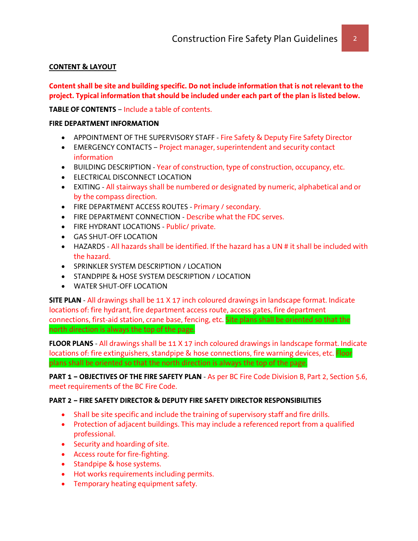## **CONTENT & LAYOUT**

**Content shall be site and building specific. Do not include information that is not relevant to the project. Typical information that should be included under each part of the plan is listed below.**

**TABLE OF CONTENTS** – Include a table of contents.

#### **FIRE DEPARTMENT INFORMATION**

- APPOINTMENT OF THE SUPERVISORY STAFF Fire Safety & Deputy Fire Safety Director
- EMERGENCY CONTACTS Project manager, superintendent and security contact information
- BUILDING DESCRIPTION Year of construction, type of construction, occupancy, etc.
- ELECTRICAL DISCONNECT LOCATION
- EXITING All stairways shall be numbered or designated by numeric, alphabetical and or by the compass direction.
- FIRE DEPARTMENT ACCESS ROUTES Primary / secondary.
- FIRE DEPARTMENT CONNECTION Describe what the FDC serves.
- FIRE HYDRANT LOCATIONS Public/ private.
- GAS SHUT-OFF LOCATION
- HAZARDS All hazards shall be identified. If the hazard has a UN # it shall be included with the hazard.
- SPRINKLER SYSTEM DESCRIPTION / LOCATION
- STANDPIPE & HOSE SYSTEM DESCRIPTION / LOCATION
- WATER SHUT-OFF LOCATION

**SITE PLAN** - All drawings shall be 11 X 17 inch coloured drawings in landscape format. Indicate locations of: fire hydrant, fire department access route, access gates, fire department connections, first-aid station, crane base, fencing, etc. Site plans shall be oriented so that the north direction is always the top of the page.

**FLOOR PLANS** - All drawings shall be 11 X 17 inch coloured drawings in landscape format. Indicate locations of: fire extinguishers, standpipe & hose connections, fire warning devices, etc. Floor plans shall be oriented so that the north direction is always the top of the page.

**PART 1 – OBJECTIVES OF THE FIRE SAFETY PLAN** - As per BC Fire Code Division B, Part 2, Section 5.6, meet requirements of the BC Fire Code.

## **PART 2 – FIRE SAFETY DIRECTOR & DEPUTY FIRE SAFETY DIRECTOR RESPONSIBILITIES**

- Shall be site specific and include the training of supervisory staff and fire drills.
- Protection of adjacent buildings. This may include a referenced report from a qualified professional.
- Security and hoarding of site.
- Access route for fire-fighting.
- Standpipe & hose systems.
- Hot works requirements including permits.
- Temporary heating equipment safety.